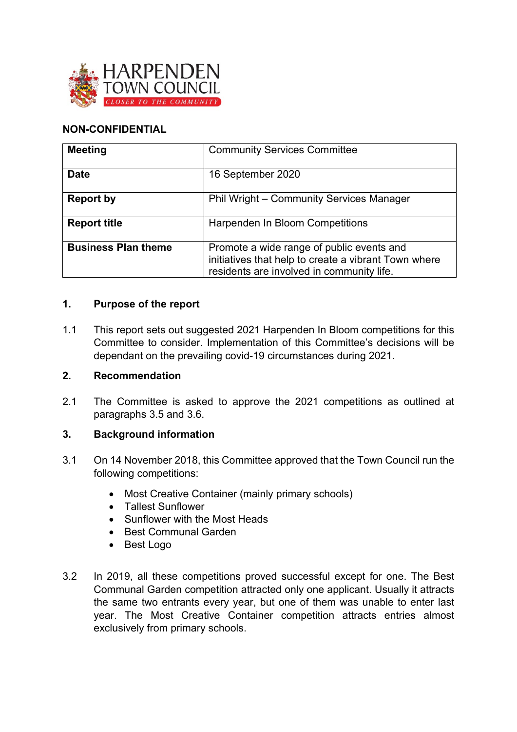

## **NON-CONFIDENTIAL**

| <b>Meeting</b>             | <b>Community Services Committee</b>                                                                                                            |
|----------------------------|------------------------------------------------------------------------------------------------------------------------------------------------|
| <b>Date</b>                | 16 September 2020                                                                                                                              |
| <b>Report by</b>           | Phil Wright - Community Services Manager                                                                                                       |
| <b>Report title</b>        | Harpenden In Bloom Competitions                                                                                                                |
| <b>Business Plan theme</b> | Promote a wide range of public events and<br>initiatives that help to create a vibrant Town where<br>residents are involved in community life. |

### **1. Purpose of the report**

1.1 This report sets out suggested 2021 Harpenden In Bloom competitions for this Committee to consider. Implementation of this Committee's decisions will be dependant on the prevailing covid-19 circumstances during 2021.

### **2. Recommendation**

2.1 The Committee is asked to approve the 2021 competitions as outlined at paragraphs 3.5 and 3.6.

# **3. Background information**

- 3.1 On 14 November 2018, this Committee approved that the Town Council run the following competitions:
	- Most Creative Container (mainly primary schools)
	- Tallest Sunflower
	- Sunflower with the Most Heads
	- Best Communal Garden
	- Best Logo
- 3.2 In 2019, all these competitions proved successful except for one. The Best Communal Garden competition attracted only one applicant. Usually it attracts the same two entrants every year, but one of them was unable to enter last year. The Most Creative Container competition attracts entries almost exclusively from primary schools.